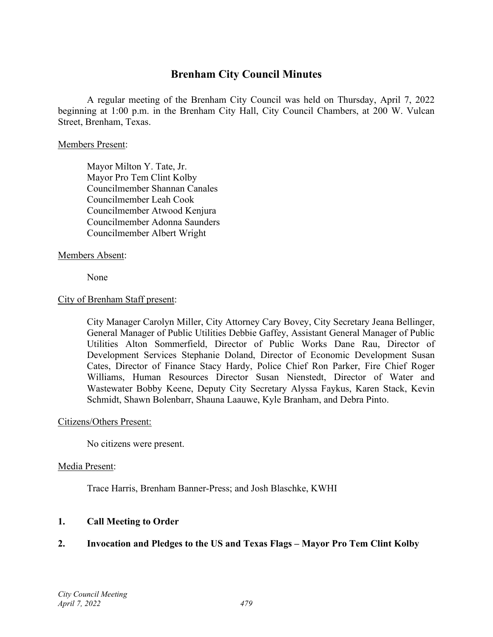### **Brenham City Council Minutes**

A regular meeting of the Brenham City Council was held on Thursday, April 7, 2022 beginning at 1:00 p.m. in the Brenham City Hall, City Council Chambers, at 200 W. Vulcan Street, Brenham, Texas.

#### Members Present:

Mayor Milton Y. Tate, Jr. Mayor Pro Tem Clint Kolby Councilmember Shannan Canales Councilmember Leah Cook Councilmember Atwood Kenjura Councilmember Adonna Saunders Councilmember Albert Wright

#### Members Absent:

None

#### City of Brenham Staff present:

City Manager Carolyn Miller, City Attorney Cary Bovey, City Secretary Jeana Bellinger, General Manager of Public Utilities Debbie Gaffey, Assistant General Manager of Public Utilities Alton Sommerfield, Director of Public Works Dane Rau, Director of Development Services Stephanie Doland, Director of Economic Development Susan Cates, Director of Finance Stacy Hardy, Police Chief Ron Parker, Fire Chief Roger Williams, Human Resources Director Susan Nienstedt, Director of Water and Wastewater Bobby Keene, Deputy City Secretary Alyssa Faykus, Karen Stack, Kevin Schmidt, Shawn Bolenbarr, Shauna Laauwe, Kyle Branham, and Debra Pinto.

#### Citizens/Others Present:

No citizens were present.

#### Media Present:

Trace Harris, Brenham Banner-Press; and Josh Blaschke, KWHI

#### **1. Call Meeting to Order**

#### **2. Invocation and Pledges to the US and Texas Flags – Mayor Pro Tem Clint Kolby**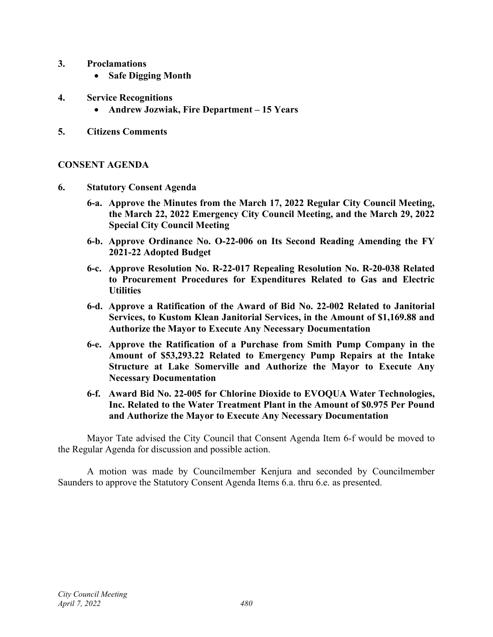- **3. Proclamations**
	- **Safe Digging Month**
- **4. Service Recognitions**
	- **Andrew Jozwiak, Fire Department – 15 Years**
- **5. Citizens Comments**

#### **CONSENT AGENDA**

- **6. Statutory Consent Agenda**
	- **6-a. Approve the Minutes from the March 17, 2022 Regular City Council Meeting, the March 22, 2022 Emergency City Council Meeting, and the March 29, 2022 Special City Council Meeting**
	- **6-b. Approve Ordinance No. O-22-006 on Its Second Reading Amending the FY 2021-22 Adopted Budget**
	- **6-c. Approve Resolution No. R-22-017 Repealing Resolution No. R-20-038 Related to Procurement Procedures for Expenditures Related to Gas and Electric Utilities**
	- **6-d. Approve a Ratification of the Award of Bid No. 22-002 Related to Janitorial Services, to Kustom Klean Janitorial Services, in the Amount of \$1,169.88 and Authorize the Mayor to Execute Any Necessary Documentation**
	- **6-e. Approve the Ratification of a Purchase from Smith Pump Company in the Amount of \$53,293.22 Related to Emergency Pump Repairs at the Intake Structure at Lake Somerville and Authorize the Mayor to Execute Any Necessary Documentation**
	- **6-f. Award Bid No. 22-005 for Chlorine Dioxide to EVOQUA Water Technologies, Inc. Related to the Water Treatment Plant in the Amount of \$0.975 Per Pound and Authorize the Mayor to Execute Any Necessary Documentation**

Mayor Tate advised the City Council that Consent Agenda Item 6-f would be moved to the Regular Agenda for discussion and possible action.

A motion was made by Councilmember Kenjura and seconded by Councilmember Saunders to approve the Statutory Consent Agenda Items 6.a. thru 6.e. as presented.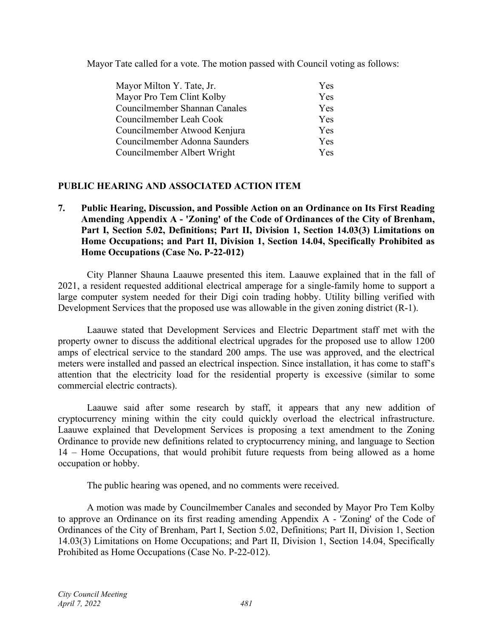Mayor Tate called for a vote. The motion passed with Council voting as follows:

| Mayor Milton Y. Tate, Jr.     | Yes        |
|-------------------------------|------------|
| Mayor Pro Tem Clint Kolby     | Yes        |
| Councilmember Shannan Canales | <b>Yes</b> |
| Councilmember Leah Cook       | <b>Yes</b> |
| Councilmember Atwood Kenjura  | Yes        |
| Councilmember Adonna Saunders | <b>Yes</b> |
| Councilmember Albert Wright   | <b>Yes</b> |

#### **PUBLIC HEARING AND ASSOCIATED ACTION ITEM**

**7. Public Hearing, Discussion, and Possible Action on an Ordinance on Its First Reading Amending Appendix A - 'Zoning' of the Code of Ordinances of the City of Brenham, Part I, Section 5.02, Definitions; Part II, Division 1, Section 14.03(3) Limitations on Home Occupations; and Part II, Division 1, Section 14.04, Specifically Prohibited as Home Occupations (Case No. P-22-012)**

City Planner Shauna Laauwe presented this item. Laauwe explained that in the fall of 2021, a resident requested additional electrical amperage for a single-family home to support a large computer system needed for their Digi coin trading hobby. Utility billing verified with Development Services that the proposed use was allowable in the given zoning district (R-1).

Laauwe stated that Development Services and Electric Department staff met with the property owner to discuss the additional electrical upgrades for the proposed use to allow 1200 amps of electrical service to the standard 200 amps. The use was approved, and the electrical meters were installed and passed an electrical inspection. Since installation, it has come to staff's attention that the electricity load for the residential property is excessive (similar to some commercial electric contracts).

Laauwe said after some research by staff, it appears that any new addition of cryptocurrency mining within the city could quickly overload the electrical infrastructure. Laauwe explained that Development Services is proposing a text amendment to the Zoning Ordinance to provide new definitions related to cryptocurrency mining, and language to Section 14 – Home Occupations, that would prohibit future requests from being allowed as a home occupation or hobby.

The public hearing was opened, and no comments were received.

A motion was made by Councilmember Canales and seconded by Mayor Pro Tem Kolby to approve an Ordinance on its first reading amending Appendix A - 'Zoning' of the Code of Ordinances of the City of Brenham, Part I, Section 5.02, Definitions; Part II, Division 1, Section 14.03(3) Limitations on Home Occupations; and Part II, Division 1, Section 14.04, Specifically Prohibited as Home Occupations (Case No. P-22-012).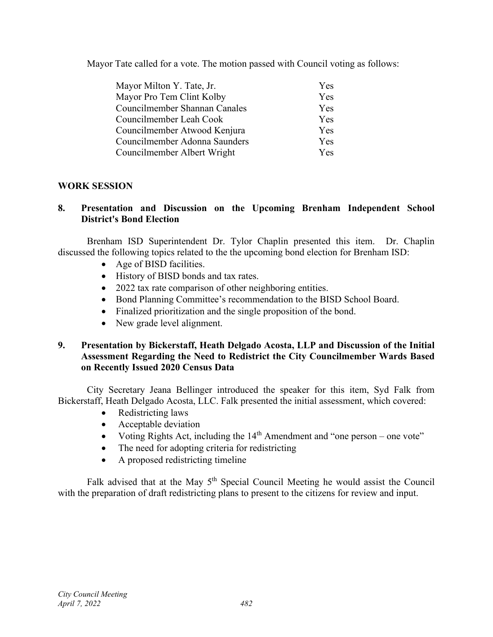Mayor Tate called for a vote. The motion passed with Council voting as follows:

| Mayor Milton Y. Tate, Jr.     | Yes        |
|-------------------------------|------------|
| Mayor Pro Tem Clint Kolby     | Yes        |
| Councilmember Shannan Canales | Yes        |
| Councilmember Leah Cook       | <b>Yes</b> |
| Councilmember Atwood Kenjura  | Yes        |
| Councilmember Adonna Saunders | Yes        |
| Councilmember Albert Wright   | Yes.       |

#### **WORK SESSION**

#### **8. Presentation and Discussion on the Upcoming Brenham Independent School District's Bond Election**

Brenham ISD Superintendent Dr. Tylor Chaplin presented this item. Dr. Chaplin discussed the following topics related to the the upcoming bond election for Brenham ISD:

- Age of BISD facilities.
- History of BISD bonds and tax rates.
- 2022 tax rate comparison of other neighboring entities.
- Bond Planning Committee's recommendation to the BISD School Board.
- Finalized prioritization and the single proposition of the bond.
- New grade level alignment.

#### **9. Presentation by Bickerstaff, Heath Delgado Acosta, LLP and Discussion of the Initial Assessment Regarding the Need to Redistrict the City Councilmember Wards Based on Recently Issued 2020 Census Data**

City Secretary Jeana Bellinger introduced the speaker for this item, Syd Falk from Bickerstaff, Heath Delgado Acosta, LLC. Falk presented the initial assessment, which covered:

- Redistricting laws
- Acceptable deviation
- Voting Rights Act, including the  $14<sup>th</sup>$  Amendment and "one person one vote"
- The need for adopting criteria for redistricting
- A proposed redistricting timeline

Falk advised that at the May  $5<sup>th</sup>$  Special Council Meeting he would assist the Council with the preparation of draft redistricting plans to present to the citizens for review and input.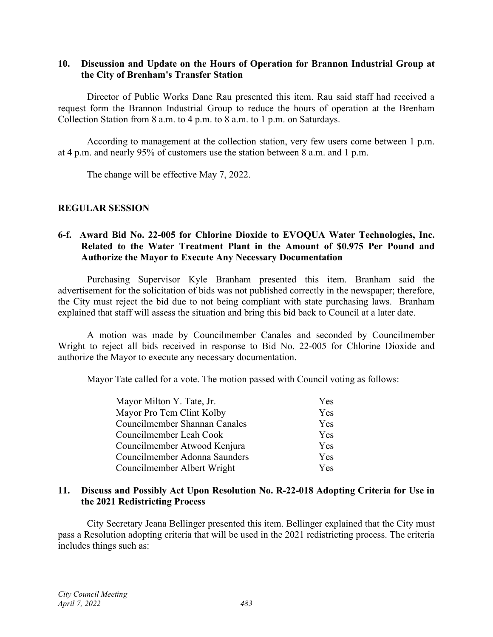#### **10. Discussion and Update on the Hours of Operation for Brannon Industrial Group at the City of Brenham's Transfer Station**

Director of Public Works Dane Rau presented this item. Rau said staff had received a request form the Brannon Industrial Group to reduce the hours of operation at the Brenham Collection Station from 8 a.m. to 4 p.m. to 8 a.m. to 1 p.m. on Saturdays.

According to management at the collection station, very few users come between 1 p.m. at 4 p.m. and nearly 95% of customers use the station between 8 a.m. and 1 p.m.

The change will be effective May 7, 2022.

#### **REGULAR SESSION**

#### **6-f. Award Bid No. 22-005 for Chlorine Dioxide to EVOQUA Water Technologies, Inc. Related to the Water Treatment Plant in the Amount of \$0.975 Per Pound and Authorize the Mayor to Execute Any Necessary Documentation**

Purchasing Supervisor Kyle Branham presented this item. Branham said the advertisement for the solicitation of bids was not published correctly in the newspaper; therefore, the City must reject the bid due to not being compliant with state purchasing laws. Branham explained that staff will assess the situation and bring this bid back to Council at a later date.

A motion was made by Councilmember Canales and seconded by Councilmember Wright to reject all bids received in response to Bid No. 22-005 for Chlorine Dioxide and authorize the Mayor to execute any necessary documentation.

Mayor Tate called for a vote. The motion passed with Council voting as follows:

| Mayor Milton Y. Tate, Jr.     | Yes        |
|-------------------------------|------------|
| Mayor Pro Tem Clint Kolby     | Yes        |
| Councilmember Shannan Canales | Yes        |
| Councilmember Leah Cook       | <b>Yes</b> |
| Councilmember Atwood Kenjura  | <b>Yes</b> |
| Councilmember Adonna Saunders | Yes        |
| Councilmember Albert Wright   | Yes.       |

#### **11. Discuss and Possibly Act Upon Resolution No. R-22-018 Adopting Criteria for Use in the 2021 Redistricting Process**

City Secretary Jeana Bellinger presented this item. Bellinger explained that the City must pass a Resolution adopting criteria that will be used in the 2021 redistricting process. The criteria includes things such as: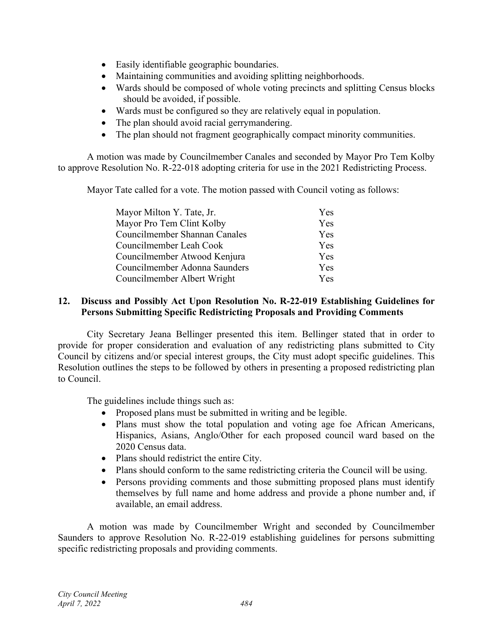- Easily identifiable geographic boundaries.
- Maintaining communities and avoiding splitting neighborhoods.
- Wards should be composed of whole voting precincts and splitting Census blocks should be avoided, if possible.
- Wards must be configured so they are relatively equal in population.
- The plan should avoid racial gerrymandering.
- The plan should not fragment geographically compact minority communities.

A motion was made by Councilmember Canales and seconded by Mayor Pro Tem Kolby to approve Resolution No. R-22-018 adopting criteria for use in the 2021 Redistricting Process.

Mayor Tate called for a vote. The motion passed with Council voting as follows:

| Mayor Milton Y. Tate, Jr.     | Yes        |
|-------------------------------|------------|
| Mayor Pro Tem Clint Kolby     | Yes        |
| Councilmember Shannan Canales | Yes        |
| Councilmember Leah Cook       | Yes        |
| Councilmember Atwood Kenjura  | Yes        |
| Councilmember Adonna Saunders | Yes        |
| Councilmember Albert Wright   | <b>Yes</b> |

#### **12. Discuss and Possibly Act Upon Resolution No. R-22-019 Establishing Guidelines for Persons Submitting Specific Redistricting Proposals and Providing Comments**

City Secretary Jeana Bellinger presented this item. Bellinger stated that in order to provide for proper consideration and evaluation of any redistricting plans submitted to City Council by citizens and/or special interest groups, the City must adopt specific guidelines. This Resolution outlines the steps to be followed by others in presenting a proposed redistricting plan to Council.

The guidelines include things such as:

- Proposed plans must be submitted in writing and be legible.
- Plans must show the total population and voting age foe African Americans, Hispanics, Asians, Anglo/Other for each proposed council ward based on the 2020 Census data.
- Plans should redistrict the entire City.
- Plans should conform to the same redistricting criteria the Council will be using.
- Persons providing comments and those submitting proposed plans must identify themselves by full name and home address and provide a phone number and, if available, an email address.

A motion was made by Councilmember Wright and seconded by Councilmember Saunders to approve Resolution No. R-22-019 establishing guidelines for persons submitting specific redistricting proposals and providing comments.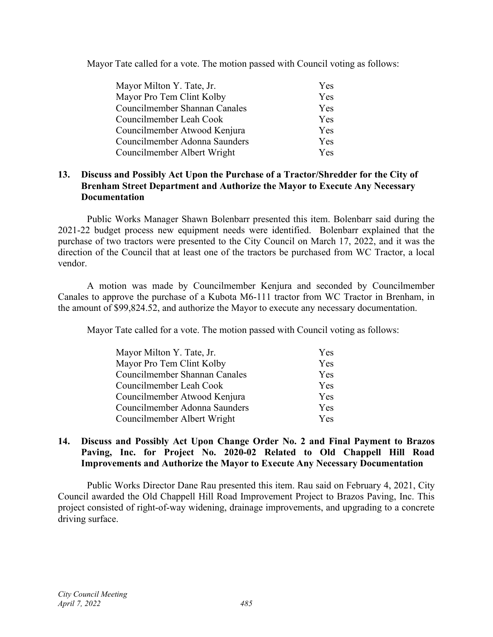Mayor Tate called for a vote. The motion passed with Council voting as follows:

| Mayor Milton Y. Tate, Jr.     | Yes        |
|-------------------------------|------------|
| Mayor Pro Tem Clint Kolby     | Yes        |
| Councilmember Shannan Canales | Yes        |
| Councilmember Leah Cook       | <b>Yes</b> |
| Councilmember Atwood Kenjura  | Yes        |
| Councilmember Adonna Saunders | Yes        |
| Councilmember Albert Wright   | Yes        |

#### **13. Discuss and Possibly Act Upon the Purchase of a Tractor/Shredder for the City of Brenham Street Department and Authorize the Mayor to Execute Any Necessary Documentation**

Public Works Manager Shawn Bolenbarr presented this item. Bolenbarr said during the 2021-22 budget process new equipment needs were identified. Bolenbarr explained that the purchase of two tractors were presented to the City Council on March 17, 2022, and it was the direction of the Council that at least one of the tractors be purchased from WC Tractor, a local vendor.

A motion was made by Councilmember Kenjura and seconded by Councilmember Canales to approve the purchase of a Kubota M6-111 tractor from WC Tractor in Brenham, in the amount of \$99,824.52, and authorize the Mayor to execute any necessary documentation.

Mayor Tate called for a vote. The motion passed with Council voting as follows:

| Mayor Milton Y. Tate, Jr.     | <b>Yes</b> |
|-------------------------------|------------|
| Mayor Pro Tem Clint Kolby     | Yes        |
| Councilmember Shannan Canales | <b>Yes</b> |
| Councilmember Leah Cook       | Yes        |
| Councilmember Atwood Kenjura  | Yes        |
| Councilmember Adonna Saunders | <b>Yes</b> |
| Councilmember Albert Wright   | <b>Yes</b> |

#### **14. Discuss and Possibly Act Upon Change Order No. 2 and Final Payment to Brazos Paving, Inc. for Project No. 2020-02 Related to Old Chappell Hill Road Improvements and Authorize the Mayor to Execute Any Necessary Documentation**

Public Works Director Dane Rau presented this item. Rau said on February 4, 2021, City Council awarded the Old Chappell Hill Road Improvement Project to Brazos Paving, Inc. This project consisted of right-of-way widening, drainage improvements, and upgrading to a concrete driving surface.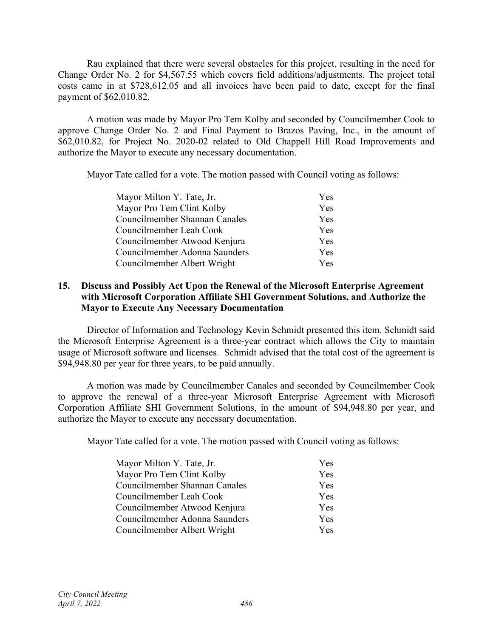Rau explained that there were several obstacles for this project, resulting in the need for Change Order No. 2 for \$4,567.55 which covers field additions/adjustments. The project total costs came in at \$728,612.05 and all invoices have been paid to date, except for the final payment of \$62,010.82.

A motion was made by Mayor Pro Tem Kolby and seconded by Councilmember Cook to approve Change Order No. 2 and Final Payment to Brazos Paving, Inc., in the amount of \$62,010.82, for Project No. 2020-02 related to Old Chappell Hill Road Improvements and authorize the Mayor to execute any necessary documentation.

Mayor Tate called for a vote. The motion passed with Council voting as follows:

| <b>Yes</b> |
|------------|
| Yes        |
| Yes        |
| Yes        |
| Yes        |
| Yes        |
| <b>Yes</b> |
|            |

#### **15. Discuss and Possibly Act Upon the Renewal of the Microsoft Enterprise Agreement with Microsoft Corporation Affiliate SHI Government Solutions, and Authorize the Mayor to Execute Any Necessary Documentation**

Director of Information and Technology Kevin Schmidt presented this item. Schmidt said the Microsoft Enterprise Agreement is a three-year contract which allows the City to maintain usage of Microsoft software and licenses. Schmidt advised that the total cost of the agreement is \$94,948.80 per year for three years, to be paid annually.

A motion was made by Councilmember Canales and seconded by Councilmember Cook to approve the renewal of a three-year Microsoft Enterprise Agreement with Microsoft Corporation Affiliate SHI Government Solutions, in the amount of \$94,948.80 per year, and authorize the Mayor to execute any necessary documentation.

Mayor Tate called for a vote. The motion passed with Council voting as follows:

| Mayor Milton Y. Tate, Jr.     | Yes        |
|-------------------------------|------------|
| Mayor Pro Tem Clint Kolby     | Yes        |
| Councilmember Shannan Canales | Yes        |
| Councilmember Leah Cook       | Yes        |
| Councilmember Atwood Kenjura  | Yes        |
| Councilmember Adonna Saunders | Yes        |
| Councilmember Albert Wright   | <b>Yes</b> |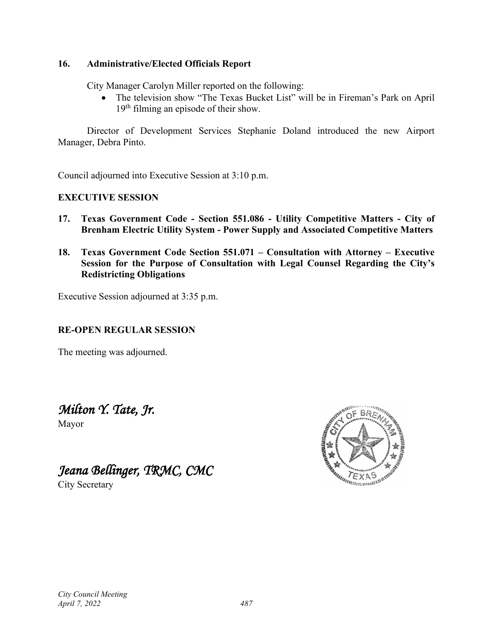#### **16. Administrative/Elected Officials Report**

City Manager Carolyn Miller reported on the following:

• The television show "The Texas Bucket List" will be in Fireman's Park on April 19<sup>th</sup> filming an episode of their show.

Director of Development Services Stephanie Doland introduced the new Airport Manager, Debra Pinto.

Council adjourned into Executive Session at 3:10 p.m.

#### **EXECUTIVE SESSION**

- **17. Texas Government Code - Section 551.086 - Utility Competitive Matters - City of Brenham Electric Utility System - Power Supply and Associated Competitive Matters**
- **18. Texas Government Code Section 551.071 – Consultation with Attorney – Executive Session for the Purpose of Consultation with Legal Counsel Regarding the City's Redistricting Obligations**

Executive Session adjourned at 3:35 p.m.

#### **RE-OPEN REGULAR SESSION**

The meeting was adjourned.

# *Milton Y. Tate, Jr.*

Mayor

# *Jeana Bellinger, TRMC, CMC*

City Secretary